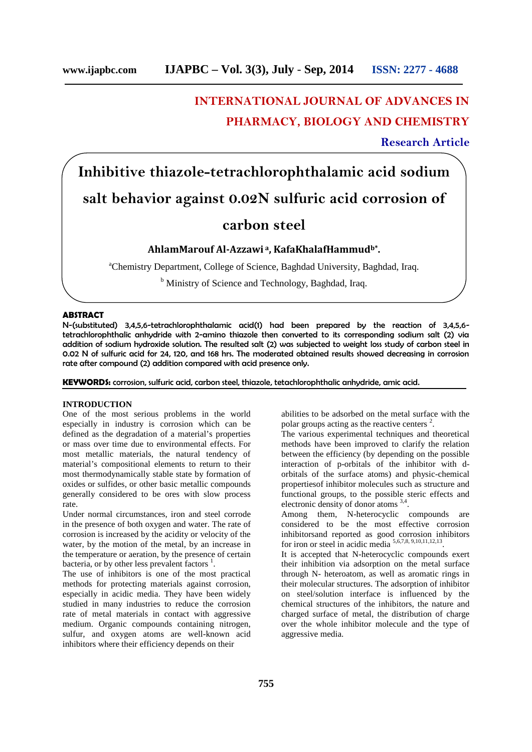# **INTERNATIONAL JOURNAL OF ADVANCES IN PHARMACY, BIOLOGY AND CHEMISTRY**

**Research Article**

# **Inhibitive thiazole-tetrachlorophthalamic acid sodium salt behavior against 0.02N sulfuric acid corrosion of**

# **carbon steel**

## **AhlamMarouf Al-Azzawi <sup>a</sup>, KafaKhalafHammudb\* .**

<sup>a</sup>Chemistry Department, College of Science, Baghdad University, Baghdad, Iraq.

<sup>b</sup> Ministry of Science and Technology, Baghdad, Iraq.

#### **ABSTRACT**

N-(substituted) 3,4,5,6-tetrachlorophthalamic acid(1) had been prepared by the reaction of 3,4,5,6 tetrachlorophthalic anhydride with 2-amino thiazole then converted to its corresponding sodium salt (2) via addition of sodium hydroxide solution. The resulted salt (2) was subjected to weight loss study of carbon steel in 0.02 N of sulfuric acid for 24, 120, and 168 hrs. The moderated obtained results showed decreasing in corrosion rate after compound (2) addition compared with acid presence only.

**KEYWORDS:** corrosion, sulfuric acid, carbon steel, thiazole, tetachlorophthalic anhydride, amic acid.

#### **INTRODUCTION**

One of the most serious problems in the world especially in industry is corrosion which can be defined as the degradation of a material's properties or mass over time due to environmental effects. For most metallic materials, the natural tendency of material's compositional elements to return to their most thermodynamically stable state by formation of oxides or sulfides, or other basic metallic compounds generally considered to be ores with slow process rate.

Under normal circumstances, iron and steel corrode in the presence of both oxygen and water. The rate of corrosion is increased by the acidity or velocity of the water, by the motion of the metal, by an increase in the temperature or aeration, by the presence of certain bacteria, or by other less prevalent factors  $<sup>1</sup>$ .</sup>

The use of inhibitors is one of the most practical methods for protecting materials against corrosion, especially in acidic media. They have been widely studied in many industries to reduce the corrosion rate of metal materials in contact with aggressive medium. Organic compounds containing nitrogen, sulfur, and oxygen atoms are well-known acid inhibitors where their efficiency depends on their

abilities to be adsorbed on the metal surface with the polar groups acting as the reactive centers <sup>2</sup>.

The various experimental techniques and theoretical methods have been improved to clarify the relation between the efficiency (by depending on the possible interaction of p-orbitals of the inhibitor with d orbitals of the surface atoms) and physic-chemical propertiesof inhibitor molecules such as structure and functional groups, to the possible steric effects and electronic density of donor atoms <sup>3,4</sup>.

Among them, N-heterocyclic compounds are considered to be the most effective corrosion inhibitorsand reported as good corrosion inhibitors for iron or steel in acidic media  $5,6,7,8,9,10,11,12,13$ .

It is accepted that N-heterocyclic compounds exert their inhibition via adsorption on the metal surface through N- heteroatom, as well as aromatic rings in their molecular structures. The adsorption of inhibitor on steel/solution interface is influenced by the chemical structures of the inhibitors, the nature and charged surface of metal, the distribution of charge over the whole inhibitor molecule and the type of aggressive media.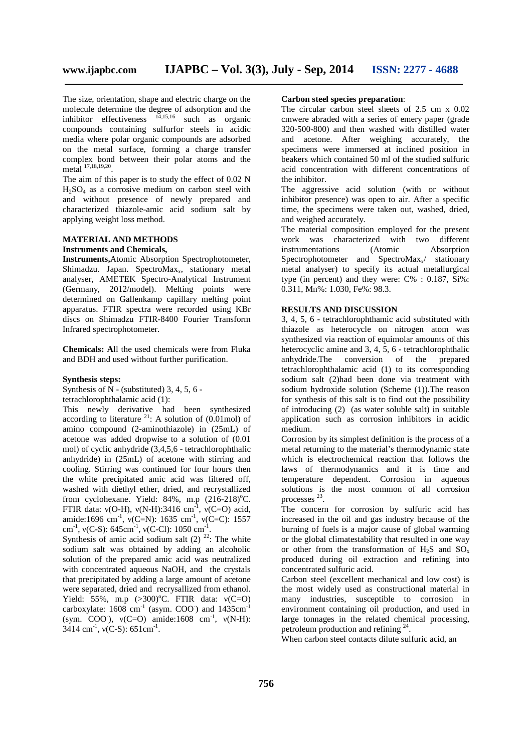The size, orientation, shape and electric charge on the molecule determine the degree of adsorption and the inhibitor effectiveness  $14,15,16$  such as organic compounds containing sulfurfor steels in acidic media where polar organic compounds are adsorbed on the metal surface, forming a charge transfer complex bond between their polar atoms and the metal 17,18,19,20 .

The aim of this paper is to study the effect of 0.02 N  $H<sub>2</sub>SO<sub>4</sub>$  as a corrosive medium on carbon steel with and without presence of newly prepared and characterized thiazole-amic acid sodium salt by applying weight loss method.

# **MATERIAL AND METHODS**

## **Instruments and Chemicals,**

**Instruments,**Atomic Absorption Spectrophotometer, Shimadzu. Japan. SpectroMax<sub>x</sub>, stationary metal analyser, AMETEK Spectro-Analytical Instrument (Germany, 2012/model). Melting points were determined on Gallenkamp capillary melting point apparatus. FTIR spectra were recorded using KBr discs on Shimadzu FTIR-8400 Fourier Transform Infrared spectrophotometer.

**Chemicals: A**ll the used chemicals were from Fluka and BDH and used without further purification.

#### **Synthesis steps:**

Synthesis of  $\overline{N}$  - (substituted) 3, 4, 5, 6 -

tetrachlorophthalamic acid (1):

This newly derivative had been synthesized according to literature  $^{21}$ : A solution of (0.01mol) of amino compound (2-aminothiazole) in (25mL) of acetone was added dropwise to a solution of (0.01 mol) of cyclic anhydride (3,4,5,6 - tetrachlorophthalic anhydride) in (25mL) of acetone with stirring and cooling. Stirring was continued for four hours then the white precipitated amic acid was filtered off, washed with diethyl ether, dried, and recrystallized from cyclohexane. Yield:  $84\%$ , m.p  $(216-218)$ <sup>o</sup>C. FTIR data: (O-H),  $(N-H)$ :3416 cm<sup>-1</sup>,  $(C=O)$  acid, amide:1696 cm<sup>-1</sup>, (C=N): 1635 cm<sup>-1</sup>, (C=C): 1557 i cm<sup>-1</sup>, (C-S): 645cm<sup>-1</sup>, (C-Cl): 1050 cm<sup>-1</sup>. .

Synthesis of amic acid sodium salt  $(2)$  <sup>22</sup>: The white sodium salt was obtained by adding an alcoholic solution of the prepared amic acid was neutralized with concentrated aqueous NaOH, and the crystals that precipitated by adding a large amount of acetone were separated, dried and recrysallized from ethanol. Yield: 55%, m.p  $(>300)$ °C. FTIR data:  $(C=O)$ carboxylate:  $1608$  cm<sup>-1</sup> (asym. COO<sup>-</sup>) and  $1435$ cm<sup>-1</sup> (sym. COO),  $(C=0)$  amide:1608 cm<sup>-1</sup>,  $(N-H)$ :  $3414 \text{ cm}^{-1}$ , (C-S):  $651 \text{ cm}^{-1}$ .

#### **Carbon steel species preparation**:

The circular carbon steel sheets of 2.5 cm x 0.02 cmwere abraded with a series of emery paper (grade 320-500-800) and then washed with distilled water and acetone. After weighing accurately, the specimens were immersed at inclined position in beakers which contained 50 ml of the studied sulfuric acid concentration with different concentrations of the inhibitor.

The aggressive acid solution (with or without inhibitor presence) was open to air. After a specific time, the specimens were taken out, washed, dried, and weighed accurately.

The material composition employed for the present work was characterized with two different instrumentations (Atomic Absorption Spectrophotometer and SpectroMax $_{x}$  stationary metal analyser) to specify its actual metallurgical type (in percent) and they were: C% : 0.187, Si%: 0.311, Mn%: 1.030, Fe%: 98.3.

#### **RESULTS AND DISCUSSION**

3, 4, 5, 6 - tetrachlorophthamic acid substituted with thiazole as heterocycle on nitrogen atom was synthesized via reaction of equimolar amounts of this heterocyclic amine and 3, 4, 5, 6 - tetrachlorophthalic anhydride.The conversion of the prepared tetrachlorophthalamic acid (1) to its corresponding sodium salt (2)had been done via treatment with sodium hydroxide solution (Scheme (1)).The reason for synthesis of this salt is to find out the possibility of introducing (2) (as water soluble salt) in suitable application such as corrosion inhibitors in acidic medium.

Corrosion by its simplest definition is the process of a metal returning to the material's thermodynamic state which is electrochemical reaction that follows the laws of thermodynamics and it is time and temperature dependent. Corrosion in aqueous solutions is the most common of all corrosion processes <sup>23</sup> .

The concern for corrosion by sulfuric acid has increased in the oil and gas industry because of the burning of fuels is a major cause of global warming or the global climatestability that resulted in one way or other from the transformation of  $H_2S$  and  $SO<sub>x</sub>$ produced during oil extraction and refining into concentrated sulfuric acid.

Carbon steel (excellent mechanical and low cost) is the most widely used as constructional material in many industries, susceptible to corrosion in environment containing oil production, and used in large tonnages in the related chemical processing, petroleum production and refining <sup>24</sup>.

When carbon steel contacts dilute sulfuric acid, an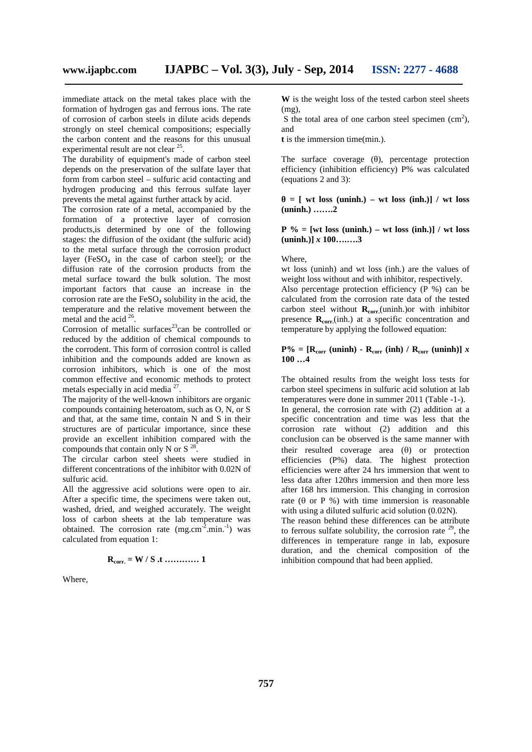immediate attack on the metal takes place with the formation of hydrogen gas and ferrous ions. The rate of corrosion of carbon steels in dilute acids depends strongly on steel chemical compositions; especially the carbon content and the reasons for this unusual experimental result are not clear <sup>25</sup>.

The durability of equipment's made of carbon steel depends on the preservation of the sulfate layer that form from carbon steel – sulfuric acid contacting and hydrogen producing and this ferrous sulfate layer prevents the metal against further attack by acid.

The corrosion rate of a metal, accompanied by the formation of a protective layer of corrosion products,is determined by one of the following stages: the diffusion of the oxidant (the sulfuric acid) to the metal surface through the corrosion product layer (FeSO<sub>4</sub> in the case of carbon steel); or the diffusion rate of the corrosion products from the metal surface toward the bulk solution. The most important factors that cause an increase in the corrosion rate are the  $FeSO<sub>4</sub>$  solubility in the acid, the temperature and the relative movement between the metal and the acid  $^{26}$ .

Corrosion of metallic surfaces<sup>23</sup>can be controlled or reduced by the addition of chemical compounds to the corrodent. This form of corrosion control is called inhibition and the compounds added are known as corrosion inhibitors, which is one of the most common effective and economic methods to protect metals especially in acid media  $2^7$ . .

The majority of the well-known inhibitors are organic compounds containing heteroatom, such as O, N, or S and that, at the same time, contain N and S in their structures are of particular importance, since these provide an excellent inhibition compared with the compounds that contain only N or  $S^{28}$ .

The circular carbon steel sheets were studied in different concentrations of the inhibitor with 0.02N of sulfuric acid.

All the aggressive acid solutions were open to air. After a specific time, the specimens were taken out, washed, dried, and weighed accurately. The weight loss of carbon sheets at the lab temperature was obtained. The corrosion rate  $(mg.cm^{-2}.min^{-1})$  was calculated from equation 1:

$$
\mathbf{R}_{\text{corr.}} = \mathbf{W} / \mathbf{S} \cdot \mathbf{t} \dots \dots \dots \dots \dots 1
$$

Where,

**W** is the weight loss of the tested carbon steel sheets (mg),

S the total area of one carbon steel specimen  $(cm<sup>2</sup>)$ , and

**t** is the immersion time(min.).

The surface coverage (), percentage protection efficiency (inhibition efficiency) P% was calculated (equations 2 and 3):

 $=$  [ wt loss (uninh.) – wt loss (inh.)] / wt loss **(uninh.) …….2**

 $P \% = [wt loss (uninh.) - wt loss (inh.)] / wt loss$ **(uninh.)]** *x* **100….….3**

#### Where,

wt loss (uninh) and wt loss (inh.) are the values of weight loss without and with inhibitor, respectively. Also percentage protection efficiency  $(P^{\prime}\%)$  can be calculated from the corrosion rate data of the tested carbon steel without **Rcorr.**(uninh.)or with inhibitor presence **Rcorr.**(inh.) at a specific concentration and temperature by applying the followed equation:

### $P\% = [R_{corr} (\text{uninh}) - R_{corr} (\text{inh}) / R_{corr} (\text{uninh})] x$ **100 …4**

The obtained results from the weight loss tests for carbon steel specimens in sulfuric acid solution at lab temperatures were done in summer 2011 (Table -1-).

In general, the corrosion rate with (2) addition at a specific concentration and time was less that the corrosion rate without (2) addition and this conclusion can be observed is the same manner with their resulted coverage area  $(\theta)$  or protection efficiencies (P%) data. The highest protection efficiencies were after 24 hrs immersion that went to less data after 120hrs immersion and then more less after 168 hrs immersion. This changing in corrosion rate ( $\theta$  or P %) with time immersion is reasonable with using a diluted sulfuric acid solution (0.02N).

The reason behind these differences can be attribute to ferrous sulfate solubility, the corrosion rate  $29$ , the differences in temperature range in lab, exposure duration, and the chemical composition of the inhibition compound that had been applied.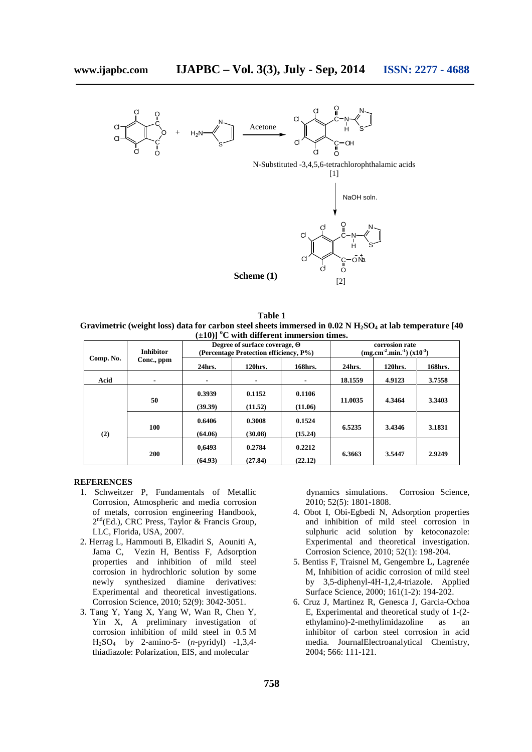

**Table 1 Gravimetric (weight loss) data for carbon steel sheets immersed in 0.02 N H2SO<sup>4</sup> at lab temperature [40**  $(\pm 10)$ ] <sup>o</sup>C with different immersion times.

| Comp. No. | <b>Inhibitor</b><br>Conc., ppm | $\sim$ $\sim$<br>Degree of surface coverage,<br>(Percentage Protection efficiency, P%) |                |                | corrosion rate<br>$(mg.cm-2.min.-1) (x10-3)$ |         |         |
|-----------|--------------------------------|----------------------------------------------------------------------------------------|----------------|----------------|----------------------------------------------|---------|---------|
|           |                                | 24hrs.                                                                                 | 120hrs.        | 168hrs.        | 24hrs.                                       | 120hrs. | 168hrs. |
| Acid      | $\blacksquare$                 | $\blacksquare$                                                                         | $\blacksquare$ | $\blacksquare$ | 18.1559                                      | 4.9123  | 3.7558  |
| (2)       | 50                             | 0.3939                                                                                 | 0.1152         | 0.1106         | 11.0035                                      | 4.3464  | 3.3403  |
|           |                                | (39.39)                                                                                | (11.52)        | (11.06)        |                                              |         |         |
|           | 100                            | 0.6406                                                                                 | 0.3008         | 0.1524         | 6.5235                                       | 3.4346  | 3.1831  |
|           |                                | (64.06)                                                                                | (30.08)        | (15.24)        |                                              |         |         |
|           | 200                            | 0,6493                                                                                 | 0.2784         | 0.2212         | 6.3663                                       | 3.5447  | 2.9249  |
|           |                                | (64.93)                                                                                | (27.84)        | (22.12)        |                                              |         |         |

#### **REFERENCES**

- 1. Schweitzer P, Fundamentals of Metallic Corrosion, Atmospheric and media corrosion of metals, corrosion engineering Handbook, 2 nd(Ed.), CRC Press, Taylor & Francis Group, LLC, Florida, USA, 2007.
- 2. Herrag L, Hammouti B, Elkadiri S, Aouniti A, Jama C, Vezin H, Bentiss F, Adsorption properties and inhibition of mild steel corrosion in hydrochloric solution by some newly synthesized diamine derivatives: Experimental and theoretical investigations. Corrosion Science, 2010; 52(9): 3042-3051.
- 3. Tang Y, Yang X, Yang W, Wan R, Chen Y, Yin X, A preliminary investigation of corrosion inhibition of mild steel in 0.5 M H2SO<sup>4</sup> by 2-amino-5- (*n*-pyridyl) -1,3,4 thiadiazole: Polarization, EIS, and molecular

dynamics simulations. Corrosion Science, 2010; 52(5): 1801-1808.

- 4. Obot I, Obi-Egbedi N, Adsorption properties and inhibition of mild steel corrosion in sulphuric acid solution by ketoconazole: Experimental and theoretical investigation. Corrosion Science, 2010; 52(1): 198-204.
- 5. Bentiss F, Traisnel M, Gengembre L, Lagrenée M, Inhibition of acidic corrosion of mild steel by 3,5-diphenyl-4H-1,2,4-triazole. Applied Surface Science, 2000; 161(1-2): 194-202.
- 6. Cruz J, Martinez R, Genesca J, Garcia-Ochoa E, Experimental and theoretical study of 1-(2 ethylamino)-2-methylimidazoline as an inhibitor of carbon steel corrosion in acid media. JournalElectroanalytical Chemistry, 2004; 566: 111-121.